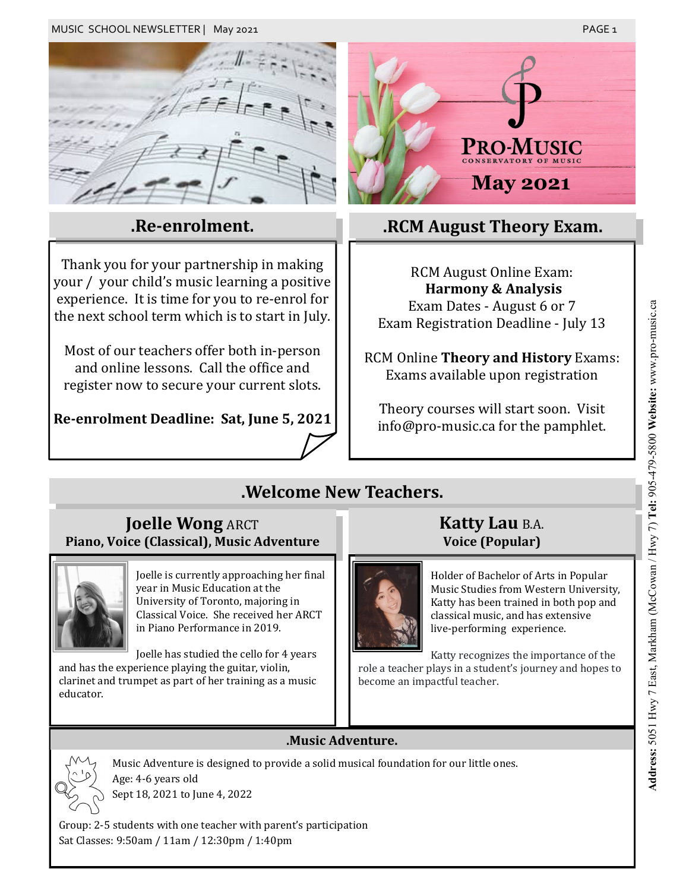

### **.Re-enrolment.**

Thank you for your partnership in making your / your child's music learning a positive experience. It is time for you to re-enrol for the next school term which is to start in July.

Most of our teachers offer both in-person and online lessons. Call the office and register now to secure your current slots.

### **Re-enrolment Deadline: Sat, June 5, 2021**

# PRO-M **.RCM August Theory Exam.**

RCM August Online Exam: **Harmony & Analysis** Exam Dates - August 6 or 7 Exam Registration Deadline - July 13

RCM Online **Theory and History** Exams: Exams available upon registration

Theory courses will start soon. Visit info@pro-music.ca for the pamphlet.

## **.Welcome New Teachers.**

### **Joelle Wong ARCT Piano, Voice (Classical), Music Adventure**



Joelle is currently approaching her final year in Music Education at the University of Toronto, majoring in Classical Voice. She received her ARCT in Piano Performance in 2019.

Joelle has studied the cello for 4 years and has the experience playing the guitar, violin, clarinet and trumpet as part of her training as a music educator.

### **Katty Lau** B.A. **Voice (Popular)**



Holder of Bachelor of Arts in Popular Music Studies from Western University, Katty has been trained in both pop and classical music, and has extensive live-performing experience.

Katty recognizes the importance of the role a teacher plays in a student's journey and hopes to become an impactful teacher.

### **.Music Adventure.**



Music Adventure is designed to provide a solid musical foundation for our little ones. Age: 4-6 years old

Sept 18, 2021 to June 4, 2022

Group: 2-5 students with one teacher with parent's participation Sat Classes: 9:50am / 11am / 12:30pm / 1:40pm

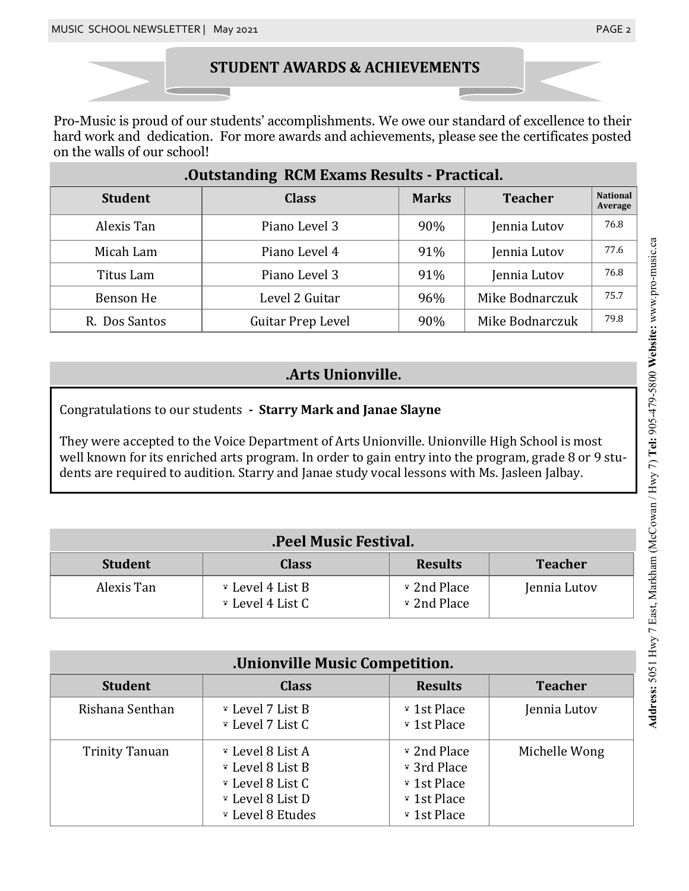### **STUDENT AWARDS & ACHIEVEMENTS**

Pro-Music is proud of our students' accomplishments. We owe our standard of excellence to their hard work and dedication. For more awards and achievements, please see the certificates posted on the walls of our school!

| .Outstanding RCM Exams Results - Practical. |                   |              |                 |                            |  |
|---------------------------------------------|-------------------|--------------|-----------------|----------------------------|--|
| <b>Student</b>                              | <b>Class</b>      | <b>Marks</b> | <b>Teacher</b>  | <b>National</b><br>Average |  |
| Alexis Tan                                  | Piano Level 3     | 90%          | Jennia Lutov    | 76.8                       |  |
| Micah Lam                                   | Piano Level 4     | 91%          | Jennia Lutov    | 77.6                       |  |
| Titus Lam                                   | Piano Level 3     | 91%          | Jennia Lutov    | 76.8                       |  |
| Benson He                                   | Level 2 Guitar    | 96%          | Mike Bodnarczuk | 75.7                       |  |
| R. Dos Santos                               | Guitar Prep Level | 90%          | Mike Bodnarczuk | 79.8                       |  |

### **.Arts Unionville.**

Congratulations to our students **- Starry Mark and Janae Slayne**

They were accepted to the Voice Department of Arts Unionville. Unionville High School is most well known for its enriched arts program. In order to gain entry into the program, grade 8 or 9 students are required to audition. Starry and Janae study vocal lessons with Ms. Jasleen Jalbay.

| .Peel Music Festival. |                                      |                            |                |
|-----------------------|--------------------------------------|----------------------------|----------------|
| <b>Student</b>        | <b>Class</b>                         | <b>Results</b>             | <b>Teacher</b> |
| Alexis Tan            | * Level 4 List B<br>* Level 4 List C | * 2nd Place<br>* 2nd Place | Jennia Lutov   |

| .Unionville Music Competition. |                                                                                                  |                                                                         |                |
|--------------------------------|--------------------------------------------------------------------------------------------------|-------------------------------------------------------------------------|----------------|
| <b>Student</b>                 | <b>Class</b>                                                                                     | <b>Results</b>                                                          | <b>Teacher</b> |
| Rishana Senthan                | * Level 7 List B<br>* Level 7 List C                                                             | * 1st Place<br>* 1st Place                                              | Jennia Lutov   |
| <b>Trinity Tanuan</b>          | * Level 8 List A<br>* Level 8 List B<br>* Level 8 List C<br>* Level 8 List D<br>* Level 8 Etudes | * 2nd Place<br>* 3rd Place<br>* 1st Place<br>* 1st Place<br>* 1st Place | Michelle Wong  |

# Address: 5051 Hwy 7 East, Markham (McCowan / Hwy 7) Tel: 905-479-5800 Website: www.pro-music.ca **Address:** 5051 Hwy 7 East, Markham (McCowan / Hwy 7) **Tel:** 905-479-5800 **Website:** www.pro-music.ca